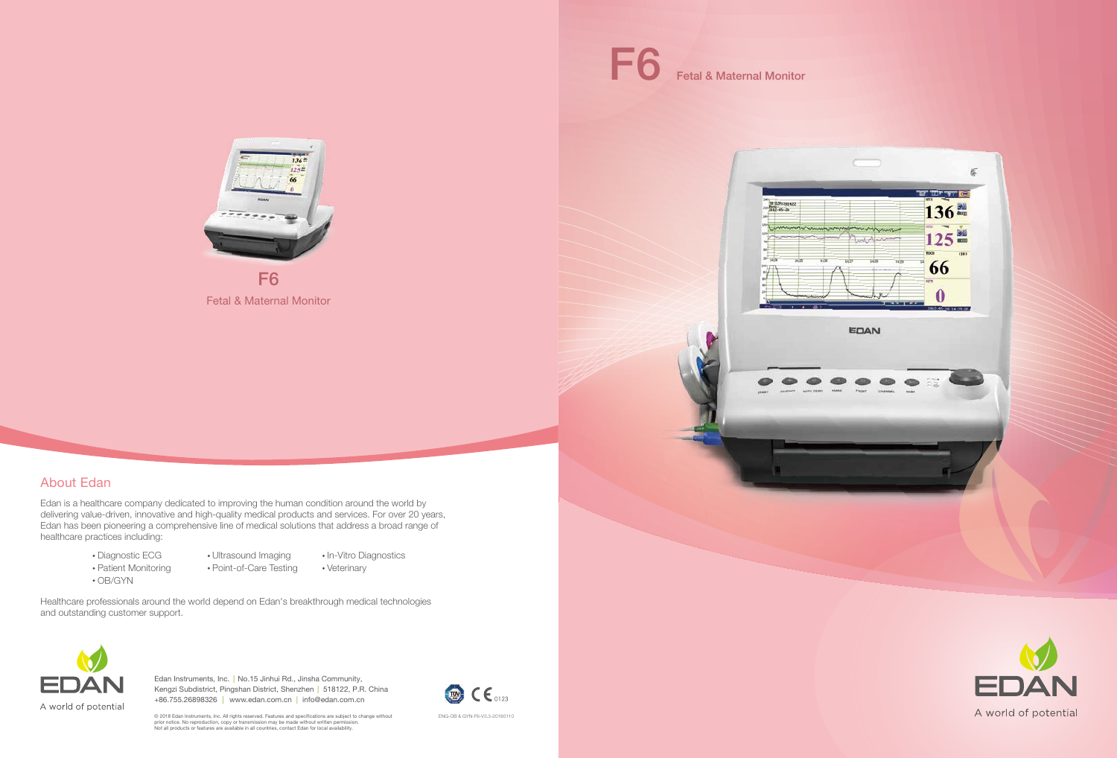Edan is a healthcare company dedicated to improving the human condition around the world by delivering value-driven, innovative and high-quality medical products and services. For over 20 years, Edan has been pioneering a comprehensive line of medical solutions that address a broad range of healthcare practices including:

- Diagnostic ECG
	- Ultrasound Imaging
- In-Vitro Diagnostics
- Patient Monitoring
- OB/GYN
- Point-of-Care Testing
	- Veterinary

# About Edan

Healthcare professionals around the world depend on Edan's breakthrough medical technologies and outstanding customer support.



Edan Instruments, Inc. | No.15 Jinhui Rd., Jinsha Community, Kengzi Subdistrict, Pingshan District, Shenzhen | 518122, P.R. China +86.755.26898326 | www.edan.com.cn info@edan.com.cn |

ENG-OB & GYN-F6-V3.3-20180110

19-12052014<br>Mang - 46-28 **EDAN** 

Fetal & Maternal Monitor

Fetal & Maternal Monitor



F6





© 2018 Edan Instruments, Inc. All rights reserved. Features and specifications are subject to change without prior notice. No reproduction, copy or transmission may be made without written permission. Not all products or features are available in all countries, contact Edan for local availability.